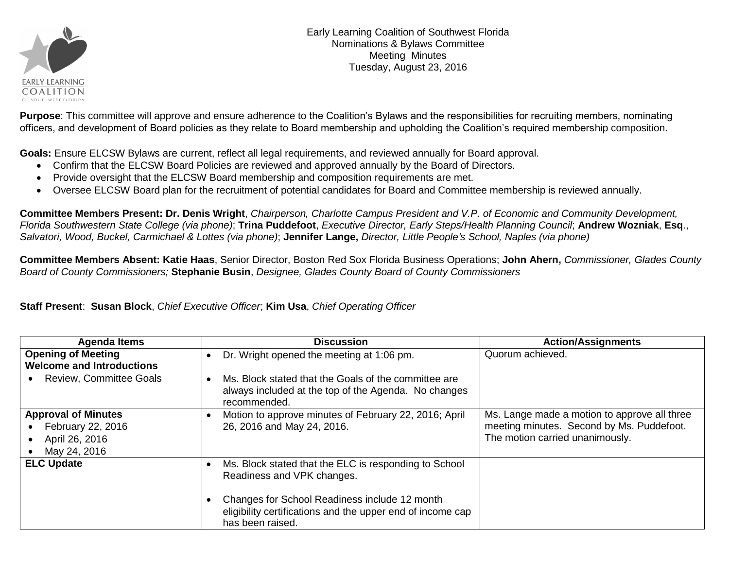

Early Learning Coalition of Southwest Florida Nominations & Bylaws Committee Meeting Minutes Tuesday, August 23, 2016

**Purpose**: This committee will approve and ensure adherence to the Coalition's Bylaws and the responsibilities for recruiting members, nominating officers, and development of Board policies as they relate to Board membership and upholding the Coalition's required membership composition.

**Goals:** Ensure ELCSW Bylaws are current, reflect all legal requirements, and reviewed annually for Board approval.

- Confirm that the ELCSW Board Policies are reviewed and approved annually by the Board of Directors.
- Provide oversight that the ELCSW Board membership and composition requirements are met.
- Oversee ELCSW Board plan for the recruitment of potential candidates for Board and Committee membership is reviewed annually.

**Committee Members Present: Dr. Denis Wright**, *Chairperson, Charlotte Campus President and V.P. of Economic and Community Development, Florida Southwestern State College (via phone)*; **Trina Puddefoot**, *Executive Director, Early Steps/Health Planning Council*; **Andrew Wozniak**, **Esq**., *Salvatori, Wood, Buckel, Carmichael & Lottes (via phone)*; **Jennifer Lange,** *Director, Little People's School, Naples (via phone)*

**Committee Members Absent: Katie Haas**, Senior Director, Boston Red Sox Florida Business Operations; **John Ahern,** *Commissioner, Glades County Board of County Commissioners;* **Stephanie Busin**, *Designee, Glades County Board of County Commissioners*

**Staff Present**: **Susan Block**, *Chief Executive Officer*; **Kim Usa**, *Chief Operating Officer*

| <b>Agenda Items</b>                                                               | <b>Discussion</b>                                                                                                                         | <b>Action/Assignments</b>                                                                                                    |
|-----------------------------------------------------------------------------------|-------------------------------------------------------------------------------------------------------------------------------------------|------------------------------------------------------------------------------------------------------------------------------|
| <b>Opening of Meeting</b><br><b>Welcome and Introductions</b>                     | Dr. Wright opened the meeting at 1:06 pm.<br>$\bullet$                                                                                    | Quorum achieved.                                                                                                             |
| <b>Review, Committee Goals</b>                                                    | Ms. Block stated that the Goals of the committee are<br>$\bullet$<br>always included at the top of the Agenda. No changes<br>recommended. |                                                                                                                              |
| <b>Approval of Minutes</b><br>February 22, 2016<br>April 26, 2016<br>May 24, 2016 | Motion to approve minutes of February 22, 2016; April<br>$\bullet$<br>26, 2016 and May 24, 2016.                                          | Ms. Lange made a motion to approve all three<br>meeting minutes. Second by Ms. Puddefoot.<br>The motion carried unanimously. |
| <b>ELC Update</b>                                                                 | Ms. Block stated that the ELC is responding to School<br>Readiness and VPK changes.                                                       |                                                                                                                              |
|                                                                                   | Changes for School Readiness include 12 month<br>eligibility certifications and the upper end of income cap<br>has been raised.           |                                                                                                                              |